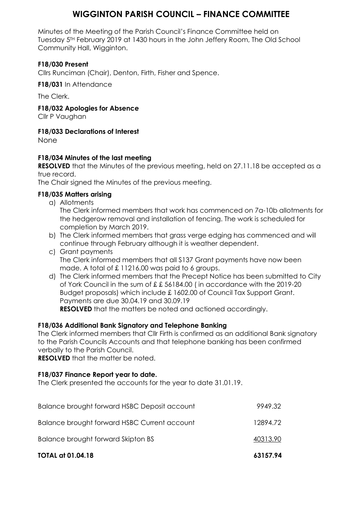# **WIGGINTON PARISH COUNCIL – FINANCE COMMITTEE**

Minutes of the Meeting of the Parish Council's Finance Committee held on Tuesday 5TH February 2019 at 1430 hours in the John Jeffery Room, The Old School Community Hall, Wigginton.

## **F18/030 Present**

Cllrs Runciman (Chair), Denton, Firth, Fisher and Spence.

**F18/031** In Attendance

The Clerk.

**F18/032 Apologies for Absence**

Cllr P Vaughan

#### **F18/033 Declarations of Interest**

None

## **F18/034 Minutes of the last meeting**

**RESOLVED** that the Minutes of the previous meeting, held on 27.11.18 be accepted as a true record.

The Chair signed the Minutes of the previous meeting.

## **F18/035 Matters arising**

a) Allotments

The Clerk informed members that work has commenced on 7a-10b allotments for the hedgerow removal and installation of fencing. The work is scheduled for completion by March 2019.

- b) The Clerk informed members that grass verge edging has commenced and will continue through February although it is weather dependent.
- c) Grant payments The Clerk informed members that all S137 Grant payments have now been made. A total of £ 11216.00 was paid to 6 groups.
- d) The Clerk informed members that the Precept Notice has been submitted to City of York Council in the sum of £ £ 56184.00 ( in accordance with the 2019-20 Budget proposals) which include £ 1602.00 of Council Tax Support Grant. Payments are due 30.04.19 and 30.09.19 **RESOLVED** that the matters be noted and actioned accordingly.

## **F18/036 Additional Bank Signatory and Telephone Banking**

The Clerk informed members that Cllr Firth is confirmed as an additional Bank signatory to the Parish Councils Accounts and that telephone banking has been confirmed verbally to the Parish Council.

**RESOLVED** that the matter be noted.

#### **F18/037 Finance Report year to date.**

The Clerk presented the accounts for the year to date 31.01.19.

| <b>TOTAL at 01.04.18</b>                     | 63157.94 |
|----------------------------------------------|----------|
| Balance brought forward Skipton BS           | 40313.90 |
| Balance brought forward HSBC Current account | 12894.72 |
| Balance brought forward HSBC Deposit account | 9949.32  |